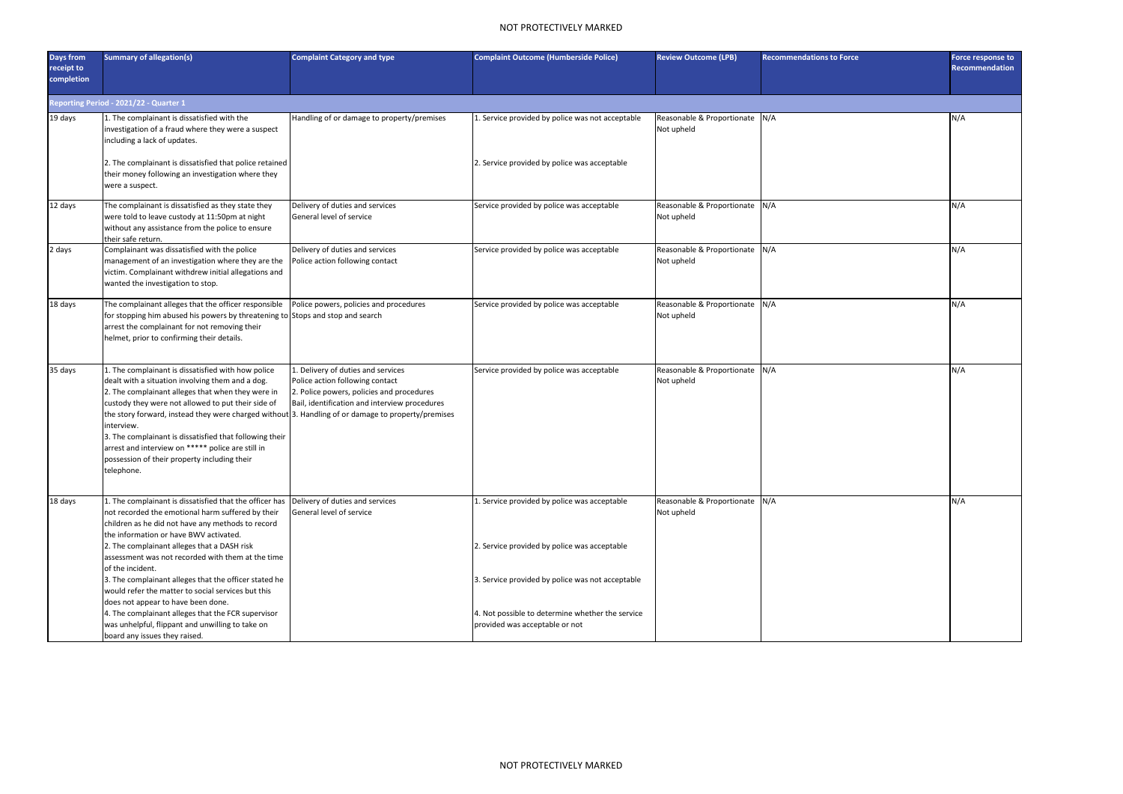## NOT PROTECTIVELY MARKED

| <b>Days from</b><br>receipt to<br>completion | <b>Summary of allegation(s)</b>                                                                                                                                                                                                                                                                                                                                                                                                                                                                                     | <b>Complaint Category and type</b>                                                                                                                                  | <b>Complaint Outcome (Humberside Police)</b>                                                                                           | <b>Review Outcome (LPB)</b>                  | <b>Recommendations to Force</b> | <b>Force response to</b><br><b>Recommendation</b> |
|----------------------------------------------|---------------------------------------------------------------------------------------------------------------------------------------------------------------------------------------------------------------------------------------------------------------------------------------------------------------------------------------------------------------------------------------------------------------------------------------------------------------------------------------------------------------------|---------------------------------------------------------------------------------------------------------------------------------------------------------------------|----------------------------------------------------------------------------------------------------------------------------------------|----------------------------------------------|---------------------------------|---------------------------------------------------|
|                                              | Reporting Period - 2021/22 - Quarter 1                                                                                                                                                                                                                                                                                                                                                                                                                                                                              |                                                                                                                                                                     |                                                                                                                                        |                                              |                                 |                                                   |
| 19 days                                      | 1. The complainant is dissatisfied with the<br>investigation of a fraud where they were a suspect<br>including a lack of updates.<br>2. The complainant is dissatisfied that police retained<br>their money following an investigation where they<br>were a suspect.                                                                                                                                                                                                                                                | Handling of or damage to property/premises                                                                                                                          | 1. Service provided by police was not acceptable<br>2. Service provided by police was acceptable                                       | Reasonable & Proportionate N/A<br>Not upheld |                                 | N/A                                               |
| 12 days                                      | The complainant is dissatisfied as they state they<br>were told to leave custody at 11:50pm at night<br>without any assistance from the police to ensure<br>their safe return.                                                                                                                                                                                                                                                                                                                                      | Delivery of duties and services<br>General level of service                                                                                                         | Service provided by police was acceptable                                                                                              | Reasonable & Proportionate N/A<br>Not upheld |                                 | N/A                                               |
| 2 days                                       | Complainant was dissatisfied with the police<br>management of an investigation where they are the<br>victim. Complainant withdrew initial allegations and<br>wanted the investigation to stop.                                                                                                                                                                                                                                                                                                                      | Delivery of duties and services<br>Police action following contact                                                                                                  | Service provided by police was acceptable                                                                                              | Reasonable & Proportionate N/A<br>Not upheld |                                 | N/A                                               |
| 18 days                                      | The complainant alleges that the officer responsible<br>for stopping him abused his powers by threatening to Stops and stop and search<br>arrest the complainant for not removing their<br>helmet, prior to confirming their details.                                                                                                                                                                                                                                                                               | Police powers, policies and procedures                                                                                                                              | Service provided by police was acceptable                                                                                              | Reasonable & Proportionate N/A<br>Not upheld |                                 | N/A                                               |
| 35 days                                      | 1. The complainant is dissatisfied with how police<br>dealt with a situation involving them and a dog.<br>2. The complainant alleges that when they were in<br>custody they were not allowed to put their side of<br>the story forward, instead they were charged without 3. Handling of or damage to property/premises<br>interview.<br>3. The complainant is dissatisfied that following their<br>arrest and interview on ***** police are still in<br>possession of their property including their<br>telephone. | 1. Delivery of duties and services<br>Police action following contact<br>2. Police powers, policies and procedures<br>Bail, identification and interview procedures | Service provided by police was acceptable                                                                                              | Reasonable & Proportionate N/A<br>Not upheld |                                 | N/A                                               |
| 18 days                                      | 1. The complainant is dissatisfied that the officer has<br>not recorded the emotional harm suffered by their<br>children as he did not have any methods to record<br>the information or have BWV activated.<br>2. The complainant alleges that a DASH risk<br>assessment was not recorded with them at the time                                                                                                                                                                                                     | Delivery of duties and services<br>General level of service                                                                                                         | 1. Service provided by police was acceptable<br>2. Service provided by police was acceptable                                           | Reasonable & Proportionate N/A<br>Not upheld |                                 | N/A                                               |
|                                              | of the incident.<br>3. The complainant alleges that the officer stated he<br>would refer the matter to social services but this<br>does not appear to have been done.<br>4. The complainant alleges that the FCR supervisor<br>was unhelpful, flippant and unwilling to take on<br>board any issues they raised.                                                                                                                                                                                                    |                                                                                                                                                                     | 3. Service provided by police was not acceptable<br>4. Not possible to determine whether the service<br>provided was acceptable or not |                                              |                                 |                                                   |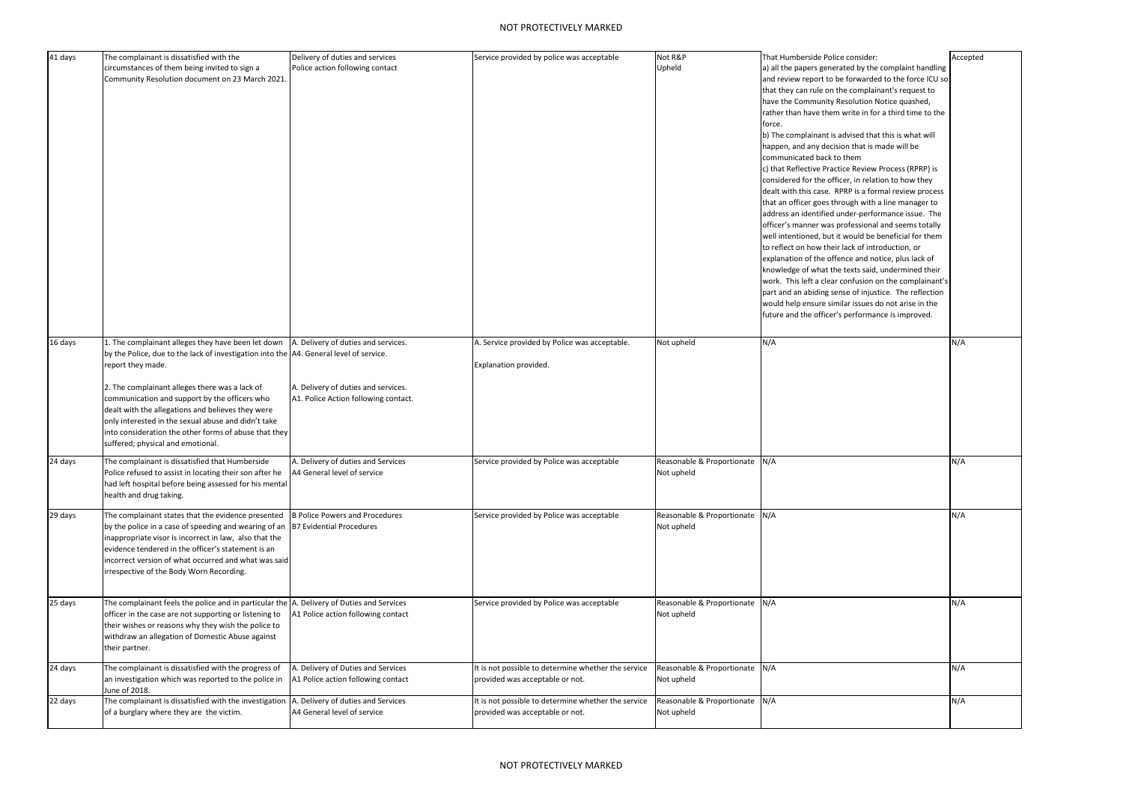| 41 days | The complainant is dissatisfied with the<br>circumstances of them being invited to sign a<br>Community Resolution document on 23 March 2021.                                                                                                                                                                                                                                                                                                                                   | Delivery of duties and services<br>Police action following contact                                                 | Service provided by police was acceptable                                              | Not R&P<br>Upheld                            | That Humberside Police consider:<br>a) all the papers generated by the complaint handling<br>and review report to be forwarded to the force ICU so<br>that they can rule on the complainant's request to<br>have the Community Resolution Notice quashed,<br>rather than have them write in for a third time to the<br>force.<br>b) The complainant is advised that this is what will<br>happen, and any decision that is made will be<br>communicated back to them<br>c) that Reflective Practice Review Process (RPRP) is<br>considered for the officer, in relation to how they<br>dealt with this case. RPRP is a formal review process<br>that an officer goes through with a line manager to<br>address an identified under-performance issue. The<br>officer's manner was professional and seems totally<br>well intentioned, but it would be beneficial for them<br>to reflect on how their lack of introduction, or<br>explanation of the offence and notice, plus lack of<br>knowledge of what the texts said, undermined their<br>work. This left a clear confusion on the complainant's<br>part and an abiding sense of injustice. The reflection<br>would help ensure similar issues do not arise in the<br>future and the officer's performance is improved. | Accepted |
|---------|--------------------------------------------------------------------------------------------------------------------------------------------------------------------------------------------------------------------------------------------------------------------------------------------------------------------------------------------------------------------------------------------------------------------------------------------------------------------------------|--------------------------------------------------------------------------------------------------------------------|----------------------------------------------------------------------------------------|----------------------------------------------|----------------------------------------------------------------------------------------------------------------------------------------------------------------------------------------------------------------------------------------------------------------------------------------------------------------------------------------------------------------------------------------------------------------------------------------------------------------------------------------------------------------------------------------------------------------------------------------------------------------------------------------------------------------------------------------------------------------------------------------------------------------------------------------------------------------------------------------------------------------------------------------------------------------------------------------------------------------------------------------------------------------------------------------------------------------------------------------------------------------------------------------------------------------------------------------------------------------------------------------------------------------------------|----------|
| 16 days | 1. The complainant alleges they have been let down<br>by the Police, due to the lack of investigation into the A4. General level of service.<br>report they made.<br>2. The complainant alleges there was a lack of<br>communication and support by the officers who<br>dealt with the allegations and believes they were<br>only interested in the sexual abuse and didn't take<br>into consideration the other forms of abuse that they<br>suffered; physical and emotional. | A. Delivery of duties and services.<br>A. Delivery of duties and services.<br>A1. Police Action following contact. | A. Service provided by Police was acceptable.<br>Explanation provided.                 | Not upheld                                   | N/A                                                                                                                                                                                                                                                                                                                                                                                                                                                                                                                                                                                                                                                                                                                                                                                                                                                                                                                                                                                                                                                                                                                                                                                                                                                                        | N/A      |
| 24 days | The complainant is dissatisfied that Humberside<br>Police refused to assist in locating their son after he<br>had left hospital before being assessed for his mental<br>health and drug taking.                                                                                                                                                                                                                                                                                | A. Delivery of duties and Services<br>A4 General level of service                                                  | Service provided by Police was acceptable                                              | Reasonable & Proportionate N/A<br>Not upheld |                                                                                                                                                                                                                                                                                                                                                                                                                                                                                                                                                                                                                                                                                                                                                                                                                                                                                                                                                                                                                                                                                                                                                                                                                                                                            | N/A      |
| 29 days | The complainant states that the evidence presented<br>by the police in a case of speeding and wearing of an B7 Evidential Procedures<br>inappropriate visor is incorrect in law, also that the<br>evidence tendered in the officer's statement is an<br>incorrect version of what occurred and what was said<br>irrespective of the Body Worn Recording.                                                                                                                       | <b>B</b> Police Powers and Procedures                                                                              | Service provided by Police was acceptable                                              | Reasonable & Proportionate N/A<br>Not upheld |                                                                                                                                                                                                                                                                                                                                                                                                                                                                                                                                                                                                                                                                                                                                                                                                                                                                                                                                                                                                                                                                                                                                                                                                                                                                            | N/A      |
| 25 days | The complainant feels the police and in particular the A. Delivery of Duties and Services<br>officer in the case are not supporting or listening to<br>their wishes or reasons why they wish the police to<br>withdraw an allegation of Domestic Abuse against<br>their partner.                                                                                                                                                                                               | A1 Police action following contact                                                                                 | Service provided by Police was acceptable                                              | Reasonable & Proportionate N/A<br>Not upheld |                                                                                                                                                                                                                                                                                                                                                                                                                                                                                                                                                                                                                                                                                                                                                                                                                                                                                                                                                                                                                                                                                                                                                                                                                                                                            | N/A      |
| 24 days | The complainant is dissatisfied with the progress of<br>an investigation which was reported to the police in<br>June of 2018.                                                                                                                                                                                                                                                                                                                                                  | A. Delivery of Duties and Services<br>A1 Police action following contact                                           | It is not possible to determine whether the service<br>provided was acceptable or not. | Reasonable & Proportionate N/A<br>Not upheld |                                                                                                                                                                                                                                                                                                                                                                                                                                                                                                                                                                                                                                                                                                                                                                                                                                                                                                                                                                                                                                                                                                                                                                                                                                                                            | N/A      |
| 22 days | The complainant is dissatisfied with the investigation<br>of a burglary where they are the victim.                                                                                                                                                                                                                                                                                                                                                                             | . Delivery of duties and Services<br>A4 General level of service                                                   | It is not possible to determine whether the service<br>provided was acceptable or not. | Reasonable & Proportionate N/A<br>Not upheld |                                                                                                                                                                                                                                                                                                                                                                                                                                                                                                                                                                                                                                                                                                                                                                                                                                                                                                                                                                                                                                                                                                                                                                                                                                                                            | N/A      |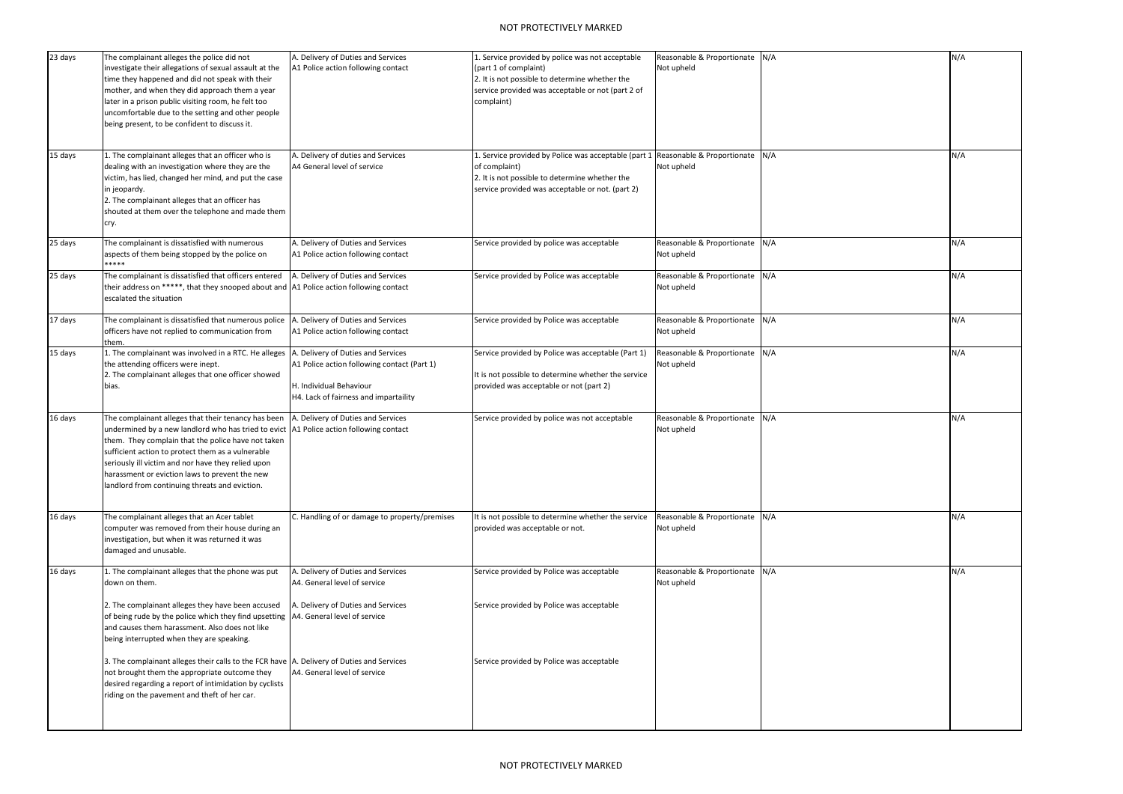## NOT PROTECTIVELY MARKED

| 23 days | The complainant alleges the police did not<br>investigate their allegations of sexual assault at the<br>time they happened and did not speak with their<br>mother, and when they did approach them a year<br>later in a prison public visiting room, he felt too<br>uncomfortable due to the setting and other people<br>being present, to be confident to discuss it.                                               | A. Delivery of Duties and Services<br>A1 Police action following contact                                                                              | 1. Service provided by police was not acceptable<br>(part 1 of complaint)<br>2. It is not possible to determine whether the<br>service provided was acceptable or not (part 2 of<br>complaint) | Reasonable & Proportionate N/A<br>Not upheld | N/A |
|---------|----------------------------------------------------------------------------------------------------------------------------------------------------------------------------------------------------------------------------------------------------------------------------------------------------------------------------------------------------------------------------------------------------------------------|-------------------------------------------------------------------------------------------------------------------------------------------------------|------------------------------------------------------------------------------------------------------------------------------------------------------------------------------------------------|----------------------------------------------|-----|
| 15 days | L. The complainant alleges that an officer who is<br>dealing with an investigation where they are the<br>victim, has lied, changed her mind, and put the case<br>in jeopardy.<br>2. The complainant alleges that an officer has<br>shouted at them over the telephone and made them<br>cry.                                                                                                                          | A. Delivery of duties and Services<br>A4 General level of service                                                                                     | 1. Service provided by Police was acceptable (part 1<br>of complaint)<br>2. It is not possible to determine whether the<br>service provided was acceptable or not. (part 2)                    | Reasonable & Proportionate N/A<br>Not upheld | N/A |
| 25 days | The complainant is dissatisfied with numerous<br>aspects of them being stopped by the police on<br>*****                                                                                                                                                                                                                                                                                                             | A. Delivery of Duties and Services<br>A1 Police action following contact                                                                              | Service provided by police was acceptable                                                                                                                                                      | Reasonable & Proportionate N/A<br>Not upheld | N/A |
| 25 days | The complainant is dissatisfied that officers entered<br>their address on *****, that they snooped about and $\vert$ A1 Police action following contact<br>escalated the situation                                                                                                                                                                                                                                   | A. Delivery of Duties and Services                                                                                                                    | Service provided by Police was acceptable                                                                                                                                                      | Reasonable & Proportionate N/A<br>Not upheld | N/A |
| 17 days | The complainant is dissatisfied that numerous police<br>officers have not replied to communication from<br>them.                                                                                                                                                                                                                                                                                                     | A. Delivery of Duties and Services<br>A1 Police action following contact                                                                              | Service provided by Police was acceptable                                                                                                                                                      | Reasonable & Proportionate N/A<br>Not upheld | N/A |
| 15 days | . The complainant was involved in a RTC. He alleges<br>the attending officers were inept.<br>2. The complainant alleges that one officer showed<br>bias.                                                                                                                                                                                                                                                             | A. Delivery of Duties and Services<br>A1 Police action following contact (Part 1)<br>H. Individual Behaviour<br>H4. Lack of fairness and impartaility | Service provided by Police was acceptable (Part 1)<br>It is not possible to determine whether the service<br>provided was acceptable or not (part 2)                                           | Reasonable & Proportionate N/A<br>Not upheld | N/A |
| 16 days | The complainant alleges that their tenancy has been<br>undermined by a new landlord who has tried to evict   A1 Police action following contact<br>them. They complain that the police have not taken<br>sufficient action to protect them as a vulnerable<br>seriously ill victim and nor have they relied upon<br>harassment or eviction laws to prevent the new<br>landlord from continuing threats and eviction. | A. Delivery of Duties and Services                                                                                                                    | Service provided by police was not acceptable                                                                                                                                                  | Reasonable & Proportionate N/A<br>Not upheld | N/A |
| 16 days | The complainant alleges that an Acer tablet<br>computer was removed from their house during an<br>investigation, but when it was returned it was<br>damaged and unusable.                                                                                                                                                                                                                                            | C. Handling of or damage to property/premises                                                                                                         | It is not possible to determine whether the service<br>provided was acceptable or not.                                                                                                         | Reasonable & Proportionate N/A<br>Not upheld | N/A |
| 16 days | 1. The complainant alleges that the phone was put<br>down on them.                                                                                                                                                                                                                                                                                                                                                   | A. Delivery of Duties and Services<br>A4. General level of service                                                                                    | Service provided by Police was acceptable                                                                                                                                                      | Reasonable & Proportionate N/A<br>Not upheld | N/A |
|         | 2. The complainant alleges they have been accused<br>of being rude by the police which they find upsetting  A4. General level of service<br>and causes them harassment. Also does not like<br>being interrupted when they are speaking.                                                                                                                                                                              | A. Delivery of Duties and Services                                                                                                                    | Service provided by Police was acceptable                                                                                                                                                      |                                              |     |
|         | 3. The complainant alleges their calls to the FCR have A. Delivery of Duties and Services<br>not brought them the appropriate outcome they<br>desired regarding a report of intimidation by cyclists<br>riding on the pavement and theft of her car.                                                                                                                                                                 | A4. General level of service                                                                                                                          | Service provided by Police was acceptable                                                                                                                                                      |                                              |     |